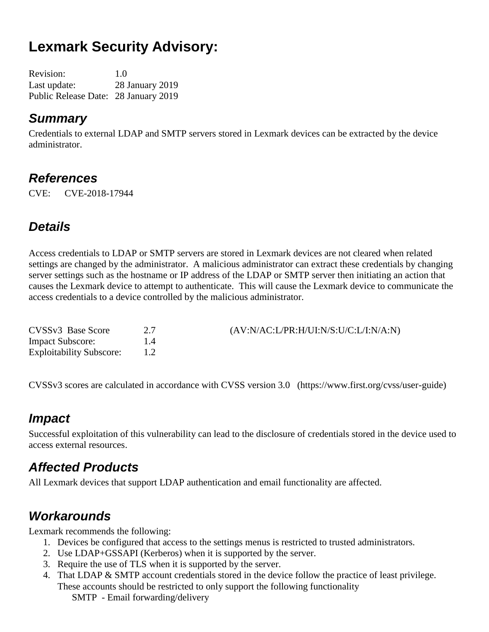# **Lexmark Security Advisory:**

Revision: 1.0 Last update: 28 January 2019 Public Release Date: 28 January 2019

#### *Summary*

Credentials to external LDAP and SMTP servers stored in Lexmark devices can be extracted by the device administrator.

### *References*

CVE: CVE-2018-17944

### *Details*

Access credentials to LDAP or SMTP servers are stored in Lexmark devices are not cleared when related settings are changed by the administrator. A malicious administrator can extract these credentials by changing server settings such as the hostname or IP address of the LDAP or SMTP server then initiating an action that causes the Lexmark device to attempt to authenticate. This will cause the Lexmark device to communicate the access credentials to a device controlled by the malicious administrator.

| CVSSv3 Base Score               | (AV:N/AC:LPR:H/UI:N/S:U/C:L/I:N/A:N) |
|---------------------------------|--------------------------------------|
| <b>Impact Subscore:</b>         |                                      |
| <b>Exploitability Subscore:</b> |                                      |

CVSSv3 scores are calculated in accordance with CVSS version 3.0 (https://www.first.org/cvss/user-guide)

### *Impact*

Successful exploitation of this vulnerability can lead to the disclosure of credentials stored in the device used to access external resources.

### *Affected Products*

All Lexmark devices that support LDAP authentication and email functionality are affected.

### *Workarounds*

Lexmark recommends the following:

- 1. Devices be configured that access to the settings menus is restricted to trusted administrators.
- 2. Use LDAP+GSSAPI (Kerberos) when it is supported by the server.
- 3. Require the use of TLS when it is supported by the server.
- 4. That LDAP & SMTP account credentials stored in the device follow the practice of least privilege. These accounts should be restricted to only support the following functionality SMTP - Email forwarding/delivery